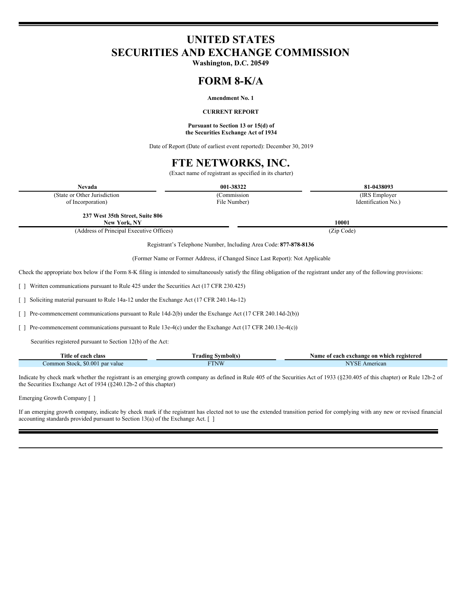# **UNITED STATES SECURITIES AND EXCHANGE COMMISSION**

**Washington, D.C. 20549**

# **FORM 8-K/A**

## **Amendment No. 1**

#### **CURRENT REPORT**

#### **Pursuant to Section 13 or 15(d) of the Securities Exchange Act of 1934**

Date of Report (Date of earliest event reported): December 30, 2019

## **FTE NETWORKS, INC.**

(Exact name of registrant as specified in its charter)

| <b>Nevada</b>                                                                                                                                                               | 001-38322    |                     |  |  |
|-----------------------------------------------------------------------------------------------------------------------------------------------------------------------------|--------------|---------------------|--|--|
| (State or Other Jurisdiction                                                                                                                                                | (Commission) | (IRS Employer)      |  |  |
| of Incorporation)                                                                                                                                                           | File Number) | Identification No.) |  |  |
| 237 West 35th Street, Suite 806<br>New York, NY                                                                                                                             |              | 10001               |  |  |
| (Address of Principal Executive Offices)                                                                                                                                    |              | (Zip Code)          |  |  |
|                                                                                                                                                                             |              |                     |  |  |
| Registrant's Telephone Number, Including Area Code: 877-878-8136                                                                                                            |              |                     |  |  |
| (Former Name or Former Address, if Changed Since Last Report): Not Applicable                                                                                               |              |                     |  |  |
| Check the appropriate box below if the Form 8-K filing is intended to simultaneously satisfy the filing obligation of the registrant under any of the following provisions: |              |                     |  |  |
| [] Written communications pursuant to Rule 425 under the Securities Act (17 CFR 230.425)                                                                                    |              |                     |  |  |
| [ ] Soliciting material pursuant to Rule 14a-12 under the Exchange Act (17 CFR 240.14a-12)                                                                                  |              |                     |  |  |

[ ] Pre-commencement communications pursuant to Rule 14d-2(b) under the Exchange Act (17 CFR 240.14d-2(b))

[ ] Pre-commencement communications pursuant to Rule 13e-4(c) under the Exchange Act (17 CFR 240.13e-4(c))

Securities registered pursuant to Section 12(b) of the Act:

| Title of                             | Symbol(s)                    | e of each exchange on which registered : |  |  |  |
|--------------------------------------|------------------------------|------------------------------------------|--|--|--|
| ' each class                         | rading                       | Name                                     |  |  |  |
| \$0.00<br>par value<br>Common Stock. | <b>FTNW</b><br><b>IIV VV</b> | American<br>10 D                         |  |  |  |

Indicate by check mark whether the registrant is an emerging growth company as defined in Rule 405 of the Securities Act of 1933 (§230.405 of this chapter) or Rule 12b-2 of the Securities Exchange Act of 1934 (§240.12b-2 of this chapter)

Emerging Growth Company [ ]

If an emerging growth company, indicate by check mark if the registrant has elected not to use the extended transition period for complying with any new or revised financial accounting standards provided pursuant to Section 13(a) of the Exchange Act. [ ]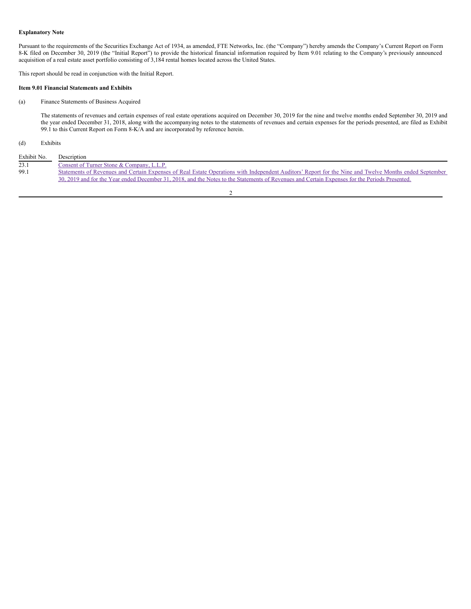#### **Explanatory Note**

Pursuant to the requirements of the Securities Exchange Act of 1934, as amended, FTE Networks, Inc. (the "Company") hereby amends the Company's Current Report on Form 8-K filed on December 30, 2019 (the "Initial Report") to provide the historical financial information required by Item 9.01 relating to the Company's previously announced acquisition of a real estate asset portfolio consisting of 3,184 rental homes located across the United States.

This report should be read in conjunction with the Initial Report.

#### **Item 9.01 Financial Statements and Exhibits**

## (a) Finance Statements of Business Acquired

The statements of revenues and certain expenses of real estate operations acquired on December 30, 2019 for the nine and twelve months ended September 30, 2019 and the year ended December 31, 2018, along with the accompanying notes to the statements of revenues and certain expenses for the periods presented, are filed as Exhibit 99.1 to this Current Report on Form 8-K/A and are incorporated by reference herein.

## (d) Exhibits

| Exhibit No. | Description                                                                                                                                            |
|-------------|--------------------------------------------------------------------------------------------------------------------------------------------------------|
| 23.1        | Consent of Turner Stone & Company, L.L.P.                                                                                                              |
| 99.1        | Statements of Revenues and Certain Expenses of Real Estate Operations with Independent Auditors' Report for the Nine and Twelve Months ended September |
|             | 30, 2019 and for the Year ended December 31, 2018, and the Notes to the Statements of Revenues and Certain Expenses for the Periods Presented.         |
|             |                                                                                                                                                        |

2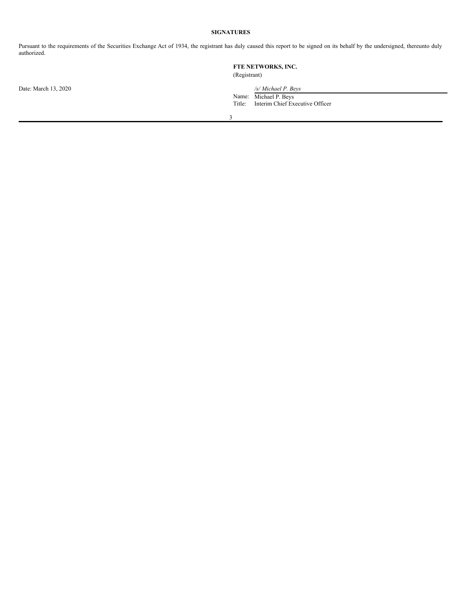## **SIGNATURES**

Pursuant to the requirements of the Securities Exchange Act of 1934, the registrant has duly caused this report to be signed on its behalf by the undersigned, thereunto duly authorized.

|                      | FTE NETWORKS, INC.<br>(Registrant) |                                 |  |
|----------------------|------------------------------------|---------------------------------|--|
| Date: March 13, 2020 |                                    | /s/ Michael P. Beys             |  |
|                      | Name:                              | Michael P. Beys                 |  |
|                      | Title:                             | Interim Chief Executive Officer |  |
|                      |                                    |                                 |  |
|                      |                                    |                                 |  |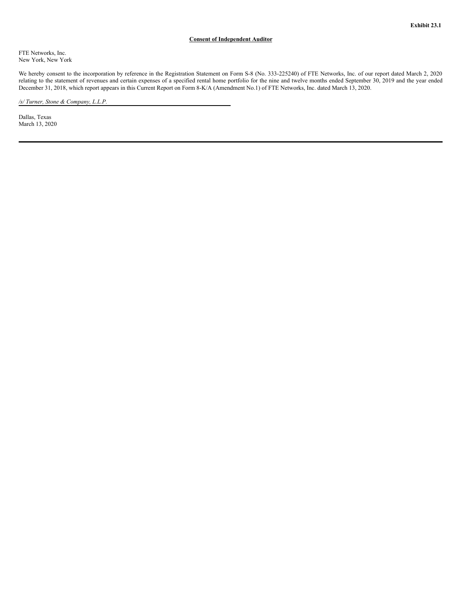### **Consent of Independent Auditor**

<span id="page-3-0"></span>FTE Networks, Inc. New York, New York

We hereby consent to the incorporation by reference in the Registration Statement on Form S-8 (No. 333-225240) of FTE Networks, Inc. of our report dated March 2, 2020 relating to the statement of revenues and certain expenses of a specified rental home portfolio for the nine and twelve months ended September 30, 2019 and the year ended December 31, 2018, which report appears in this Current Report on Form 8-K/A (Amendment No.1) of FTE Networks, Inc. dated March 13, 2020.

*/s/ Turner, Stone & Company, L.L.P.*

Dallas, Texas March 13, 2020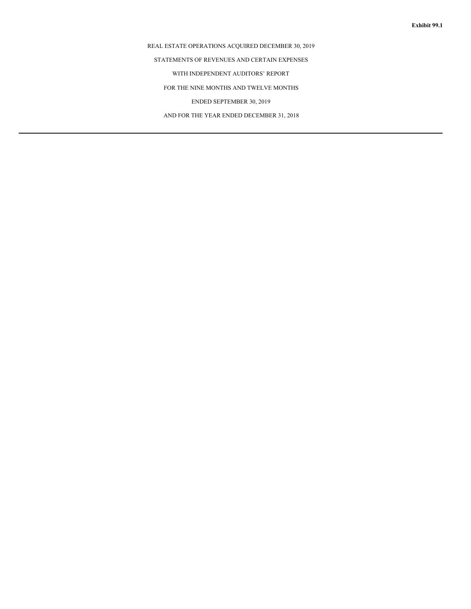## REAL ESTATE OPERATIONS ACQUIRED DECEMBER 30, 2019

STATEMENTS OF REVENUES AND CERTAIN EXPENSES

WITH INDEPENDENT AUDITORS' REPORT

FOR THE NINE MONTHS AND TWELVE MONTHS

ENDED SEPTEMBER 30, 2019

AND FOR THE YEAR ENDED DECEMBER 31, 2018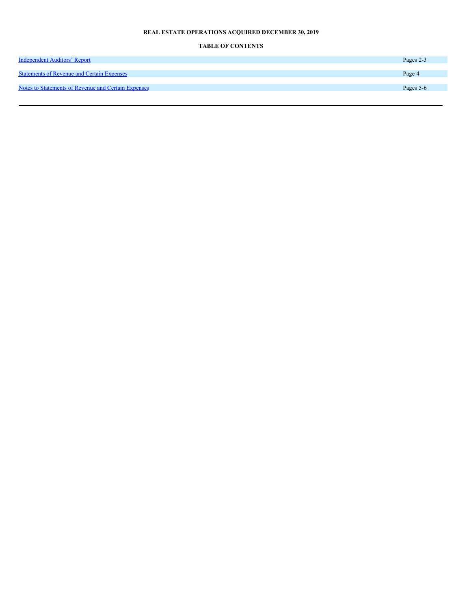## **REAL ESTATE OPERATIONS ACQUIRED DECEMBER 30, 2019**

## **TABLE OF CONTENTS**

| <b>Independent Auditors' Report</b>                 | Pages 2-3 |
|-----------------------------------------------------|-----------|
|                                                     |           |
| <b>Statements of Revenue and Certain Expenses</b>   | Page 4    |
|                                                     |           |
| Notes to Statements of Revenue and Certain Expenses | Pages 5-6 |
|                                                     |           |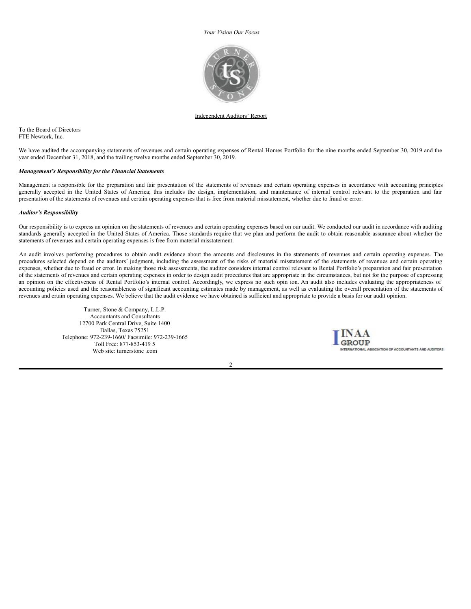<span id="page-7-0"></span>*Your Vision Our Focus*



#### Independent Auditors' Report

To the Board of Directors FTE Newtork, Inc.

We have audited the accompanying statements of revenues and certain operating expenses of Rental Homes Portfolio for the nine months ended September 30, 2019 and the year ended December 31, 2018, and the trailing twelve months ended September 30, 2019.

#### *Management's Responsibility for the Financial Statements*

Management is responsible for the preparation and fair presentation of the statements of revenues and certain operating expenses in accordance with accounting principles generally accepted in the United States of America; this includes the design, implementation, and maintenance of internal control relevant to the preparation and fair presentation of the statements of revenues and certain operating expenses that is free from material misstatement, whether due to fraud or error.

#### *Auditor's Responsibility*

Our responsibility is to express an opinion on the statements of revenues and certain operating expenses based on our audit. We conducted our audit in accordance with auditing standards generally accepted in the United States of America. Those standards require that we plan and perform the audit to obtain reasonable assurance about whether the statements of revenues and certain operating expenses is free from material misstatement.

An audit involves performing procedures to obtain audit evidence about the amounts and disclosures in the statements of revenues and certain operating expenses. The procedures selected depend on the auditors' judgment, including the assessment of the risks of material misstatement of the statements of revenues and certain operating expenses, whether due to fraud or error. In making those risk assessments, the auditor considers internal control relevant to Rental Portfolio's preparation and fair presentation of the statements of revenues and certain operating expenses in order to design audit procedures that are appropriate in the circumstances, but not for the purpose of expressing an opinion on the effectiveness of Rental Portfolio's internal control. Accordingly, we express no such opin ion. An audit also includes evaluating the appropriateness of accounting policies used and the reasonableness of significant accounting estimates made by management, as well as evaluating the overall presentation of the statements of revenues and ertain operating expenses. We believe that the audit evidence we have obtained is sufficient and appropriate to provide a basis for our audit opinion.

Turner, Stone & Company, L.L.P. Accountants and Consultants 12700 Park Central Drive, Suite 1400 Dallas, Texas 75251 Telephone: 972-239-1660/ Facsimile: 972-239-1665 Toll Free: 877-853-419 5 Web site: turnerstone .com



 $\overline{2}$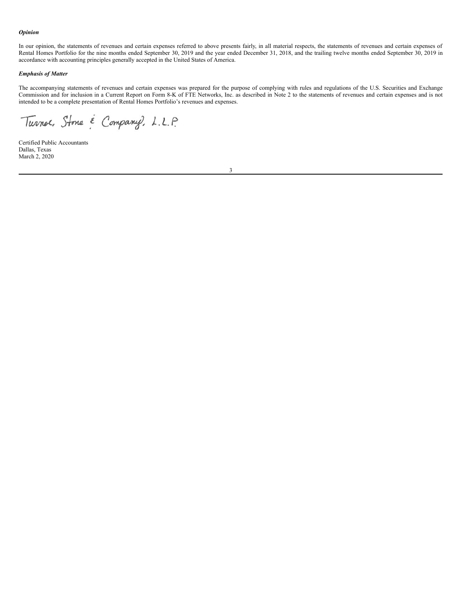#### <span id="page-8-0"></span>*Opinion*

In our opinion, the statements of revenues and certain expenses referred to above presents fairly, in all material respects, the statements of revenues and certain expenses of Rental Homes Portfolio for the nine months ended September 30, 2019 and the year ended December 31, 2018, and the trailing twelve months ended September 30, 2019 in accordance with accounting principles generally accepted in the United States of America.

#### *Emphasis of Matter*

The accompanying statements of revenues and certain expenses was prepared for the purpose of complying with rules and regulations of the U.S. Securities and Exchange Commission and for inclusion in a Current Report on Form 8-K of FTE Networks, Inc. as described in Note 2 to the statements of revenues and certain expenses and is not intended to be a complete presentation of Rental Homes Portfolio's revenues and expenses.

Turner, Stone & Company, L.L.P.

Certified Public Accountants Dallas, Texas March 2, 2020

3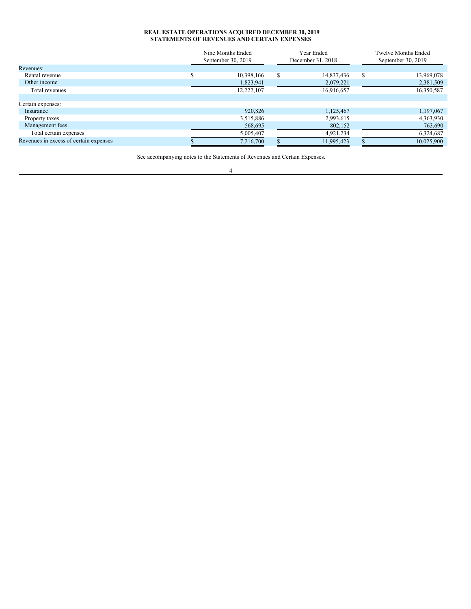#### <span id="page-9-0"></span>**REAL ESTATE OPERATIONS ACQUIRED DECEMBER 30, 2019 STATEMENTS OF REVENUES AND CERTAIN EXPENSES**

|                                        | Nine Months Ended  |     | Year Ended        |   | <b>Twelve Months Ended</b> |  |
|----------------------------------------|--------------------|-----|-------------------|---|----------------------------|--|
|                                        | September 30, 2019 |     | December 31, 2018 |   | September 30, 2019         |  |
| Revenues:                              |                    |     |                   |   |                            |  |
| Rental revenue                         | 10,398,166         | \$. | 14,837,436        | S | 13,969,078                 |  |
| Other income                           | 1,823,941          |     | 2,079,221         |   | 2,381,509                  |  |
| Total revenues                         | 12,222,107         |     | 16,916,657        |   | 16,350,587                 |  |
|                                        |                    |     |                   |   |                            |  |
| Certain expenses:                      |                    |     |                   |   |                            |  |
| Insurance                              | 920,826            |     | 1,125,467         |   | 1,197,067                  |  |
| Property taxes                         | 3,515,886          |     | 2,993,615         |   | 4,363,930                  |  |
| Management fees                        | 568,695            |     | 802,152           |   | 763,690                    |  |
| Total certain expenses                 | 5,005,407          |     | 4,921,234         |   | 6,324,687                  |  |
| Revenues in excess of certain expenses | 7,216,700          |     | 11,995,423        |   | 10,025,900                 |  |

See accompanying notes to the Statements of Revenues and Certain Expenses. 4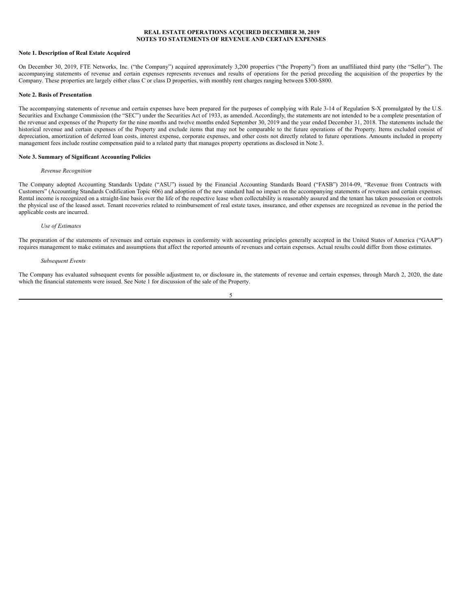#### <span id="page-10-0"></span>**REAL ESTATE OPERATIONS ACQUIRED DECEMBER 30, 2019 NOTES TO STATEMENTS OF REVENUE AND CERTAIN EXPENSES**

#### **Note 1. Description of Real Estate Acquired**

On December 30, 2019, FTE Networks, Inc. ("the Company") acquired approximately 3,200 properties ("the Property") from an unaffiliated third party (the "Seller"). The accompanying statements of revenue and certain expenses represents revenues and results of operations for the period preceding the acquisition of the properties by the Company. These properties are largely either class C or class D properties, with monthly rent charges ranging between \$300-\$800.

#### **Note 2. Basis of Presentation**

The accompanying statements of revenue and certain expenses have been prepared for the purposes of complying with Rule 3-14 of Regulation S-X promulgated by the U.S. Securities and Exchange Commission (the "SEC") under the Securities Act of 1933, as amended. Accordingly, the statements are not intended to be a complete presentation of the revenue and expenses of the Property for the nine months and twelve months ended September 30, 2019 and the year ended December 31, 2018. The statements include the historical revenue and certain expenses of the Property and exclude items that may not be comparable to the future operations of the Property. Items excluded consist of depreciation, amortization of deferred loan costs, interest expense, corporate expenses, and other costs not directly related to future operations. Amounts included in property management fees include routine compensation paid to a related party that manages property operations as disclosed in Note 3.

#### **Note 3. Summary of Significant Accounting Policies**

#### *Revenue Recognition*

The Company adopted Accounting Standards Update ("ASU") issued by the Financial Accounting Standards Board ("FASB") 2014-09, "Revenue from Contracts with Customers" (Accounting Standards Codification Topic 606) and adoption of the new standard had no impact on the accompanying statements of revenues and certain expenses. Rental income is recognized on a straight-line basis over the life of the respective lease when collectability is reasonably assured and the tenant has taken possession or controls the physical use of the leased asset. Tenant recoveries related to reimbursement of real estate taxes, insurance, and other expenses are recognized as revenue in the period the applicable costs are incurred.

#### *Use of Estimates*

The preparation of the statements of revenues and certain expenses in conformity with accounting principles generally accepted in the United States of America ("GAAP") requires management to make estimates and assumptions that affect the reported amounts of revenues and certain expenses. Actual results could differ from those estimates.

#### *Subsequent Events*

The Company has evaluated subsequent events for possible adjustment to, or disclosure in, the statements of revenue and certain expenses, through March 2, 2020, the date which the financial statements were issued. See Note 1 for discussion of the sale of the Property.